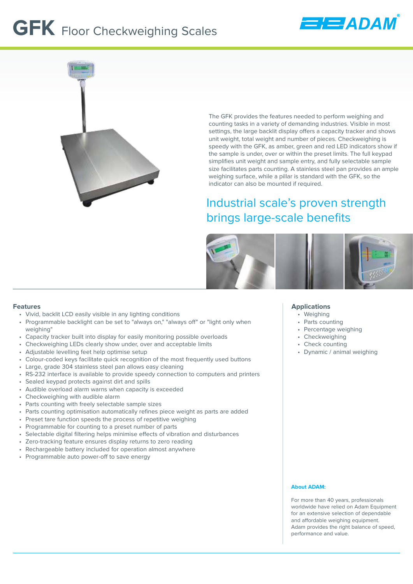# **GFK** Floor Checkweighing Scales





The GFK provides the features needed to perform weighing and counting tasks in a variety of demanding industries. Visible in most settings, the large backlit display offers a capacity tracker and shows unit weight, total weight and number of pieces. Checkweighing is speedy with the GFK, as amber, green and red LED indicators show if the sample is under, over or within the preset limits. The full keypad simplifies unit weight and sample entry, and fully selectable sample size facilitates parts counting. A stainless steel pan provides an ample weighing surface, while a pillar is standard with the GFK, so the indicator can also be mounted if required.

# Industrial scale's proven strength brings large-scale benefits



#### **Features**

- Vivid, backlit LCD easily visible in any lighting conditions
- Programmable backlight can be set to "always on," "always off" or "light only when weighing"
- Capacity tracker built into display for easily monitoring possible overloads
- Checkweighing LEDs clearly show under, over and acceptable limits
- Adjustable levelling feet help optimise setup
- Colour-coded keys facilitate quick recognition of the most frequently used buttons
- Large, grade 304 stainless steel pan allows easy cleaning
- RS-232 interface is available to provide speedy connection to computers and printers
- Sealed keypad protects against dirt and spills
- Audible overload alarm warns when capacity is exceeded
- Checkweighing with audible alarm
- Parts counting with freely selectable sample sizes
- Parts counting optimisation automatically refines piece weight as parts are added
- Preset tare function speeds the process of repetitive weighing
- Programmable for counting to a preset number of parts
- Selectable digital filtering helps minimise effects of vibration and disturbances
- Zero-tracking feature ensures display returns to zero reading
- Rechargeable battery included for operation almost anywhere
- Programmable auto power-off to save energy

#### **Applications**

- Weighing
- Parts counting
- Percentage weighing
- Checkweighing
- Check counting
- Dynamic / animal weighing

#### **About ADAM:**

For more than 40 years, professionals worldwide have relied on Adam Equipment for an extensive selection of dependable and affordable weighing equipment. Adam provides the right balance of speed, performance and value.